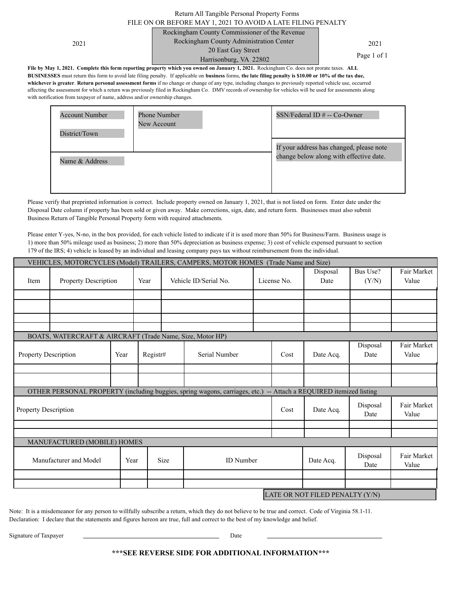# Return All Tangible Personal Property Forms

#### FILE ON OR BEFORE MAY 1, 2021 TO AVOID A LATE FILING PENALTY Rockingham County Commissioner of the Revenue

Harrisonburg, VA 22802

Rockingham County Administration Center 2021 2021 20 East Gay Street

Page 1 of 1

**File by May 1, 2021. Complete this form reporting property which you owned on January 1, 2021.** Rockingham Co. does not prorate taxes. **ALL BUSINESSES** must return this form to avoid late filing penalty. If applicable on **business** forms, **the late filing penalty is \$10.00 or 10% of the tax due, whichever is greater**. **Return personal assessment forms** if no change or change of any type, including changes to previously reported vehicle use, occurred affecting the assessment for which a return was previously filed in Rockingham Co. DMV records of ownership for vehicles will be used for assessments along with notification from taxpayer of name, address and/or ownership changes.

| <b>Account Number</b><br>District/Town | Phone Number<br>New Account | SSN/Federal ID # -- Co-Owner                                                        |
|----------------------------------------|-----------------------------|-------------------------------------------------------------------------------------|
| Name & Address                         |                             | If your address has changed, please note<br>change below along with effective date. |

Please verify that preprinted information is correct. Include property owned on January 1, 2021, that is not listed on form. Enter date under the Disposal Date column if property has been sold or given away. Make corrections, sign, date, and return form. Businesses must also submit Business Return of Tangible Personal Property form with required attachments.

Please enter Y-yes, N-no, in the box provided, for each vehicle listed to indicate if it is used more than 50% for Business/Farm. Business usage is 1) more than 50% mileage used as business; 2) more than 50% depreciation as business expense; 3) cost of vehicle expensed pursuant to section 179 of the IRS; 4) vehicle is leased by an individual and leasing company pays tax without reimbursement from the individual.

|                             | VEHICLES, MOTORCYCLES (Model) TRAILERS, CAMPERS, MOTOR HOMES (Trade Name and Size) |      |          |      |                                                                                                                   |                  |                      |                  |                   |                      |
|-----------------------------|------------------------------------------------------------------------------------|------|----------|------|-------------------------------------------------------------------------------------------------------------------|------------------|----------------------|------------------|-------------------|----------------------|
| Item                        | Property Description                                                               |      | Year     |      | Vehicle ID/Serial No.                                                                                             |                  | License No.          | Disposal<br>Date | Bus Use?<br>(Y/N) | Fair Market<br>Value |
|                             |                                                                                    |      |          |      |                                                                                                                   |                  |                      |                  |                   |                      |
|                             |                                                                                    |      |          |      |                                                                                                                   |                  |                      |                  |                   |                      |
|                             |                                                                                    |      |          |      |                                                                                                                   |                  |                      |                  |                   |                      |
|                             |                                                                                    |      |          |      |                                                                                                                   |                  |                      |                  |                   |                      |
|                             | BOATS, WATERCRAFT & AIRCRAFT (Trade Name, Size, Motor HP)                          |      |          |      |                                                                                                                   |                  |                      |                  |                   |                      |
| Property Description        |                                                                                    | Year | Registr# |      | Serial Number                                                                                                     |                  | Cost                 | Date Acq.        | Disposal<br>Date  | Fair Market<br>Value |
|                             |                                                                                    |      |          |      |                                                                                                                   |                  |                      |                  |                   |                      |
|                             |                                                                                    |      |          |      |                                                                                                                   |                  |                      |                  |                   |                      |
|                             |                                                                                    |      |          |      | OTHER PERSONAL PROPERTY (including buggies, spring wagons, carriages, etc.) -- Attach a REQUIRED itemized listing |                  |                      |                  |                   |                      |
| <b>Property Description</b> |                                                                                    |      |          | Cost | Date Acq.                                                                                                         | Disposal<br>Date | Fair Market<br>Value |                  |                   |                      |
|                             |                                                                                    |      |          |      |                                                                                                                   |                  |                      |                  |                   |                      |
|                             |                                                                                    |      |          |      |                                                                                                                   |                  |                      |                  |                   |                      |
|                             | MANUFACTURED (MOBILE) HOMES                                                        |      |          |      |                                                                                                                   |                  |                      |                  |                   |                      |
|                             | Manufacturer and Model                                                             | Year |          | Size | <b>ID</b> Number                                                                                                  |                  |                      | Date Acq.        | Disposal<br>Date  | Fair Market<br>Value |
|                             |                                                                                    |      |          |      |                                                                                                                   |                  |                      |                  |                   |                      |
|                             |                                                                                    |      |          |      |                                                                                                                   |                  |                      |                  |                   |                      |
|                             | LATE OR NOT FILED PENALTY (Y/N)                                                    |      |          |      |                                                                                                                   |                  |                      |                  |                   |                      |

Note: It is a misdemeanor for any person to willfully subscribe a return, which they do not believe to be true and correct. Code of Virginia 58.1-11. Declaration: I declare that the statements and figures hereon are true, full and correct to the best of my knowledge and belief.

Signature of Taxpayer Date

֦

**\*\*\*SEE REVERSE SIDE FOR ADDITIONAL INFORMATION\*\*\***